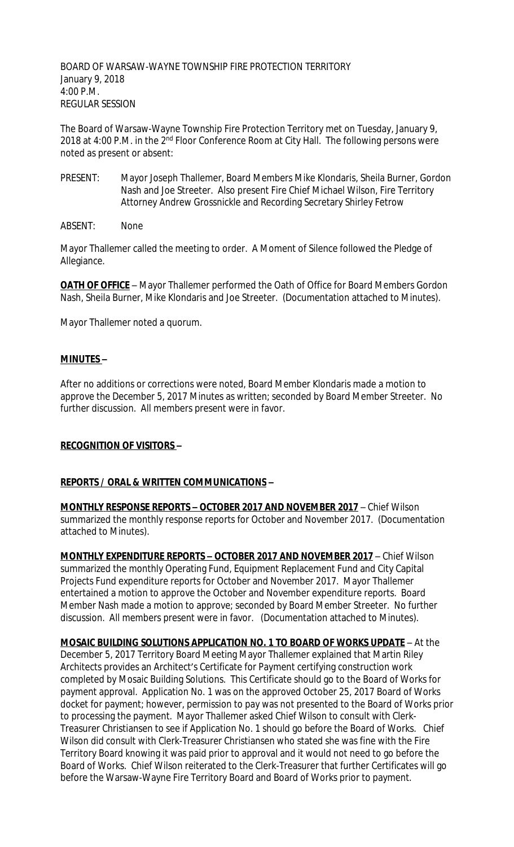BOARD OF WARSAW-WAYNE TOWNSHIP FIRE PROTECTION TERRITORY January 9, 2018 4:00 P.M. REGULAR SESSION

The Board of Warsaw-Wayne Township Fire Protection Territory met on Tuesday, January 9, 2018 at 4:00 P.M. in the 2<sup>nd</sup> Floor Conference Room at City Hall. The following persons were noted as present or absent:

- PRESENT: Mayor Joseph Thallemer, Board Members Mike Klondaris, Sheila Burner, Gordon Nash and Joe Streeter. Also present Fire Chief Michael Wilson, Fire Territory Attorney Andrew Grossnickle and Recording Secretary Shirley Fetrow
- ABSENT: None

Mayor Thallemer called the meeting to order. A Moment of Silence followed the Pledge of Allegiance.

**OATH OF OFFICE** - Mayor Thallemer performed the Oath of Office for Board Members Gordon Nash, Sheila Burner, Mike Klondaris and Joe Streeter. (Documentation attached to Minutes).

Mayor Thallemer noted a quorum.

### **MINUTES –**

After no additions or corrections were noted, Board Member Klondaris made a motion to approve the December 5, 2017 Minutes as written; seconded by Board Member Streeter. No further discussion. All members present were in favor.

### **RECOGNITION OF VISITORS –**

### **REPORTS / ORAL & WRITTEN COMMUNICATIONS –**

**MONTHLY RESPONSE REPORTS – OCTOBER 2017 AND NOVEMBER 2017** – Chief Wilson summarized the monthly response reports for October and November 2017. (Documentation attached to Minutes).

**MONTHLY EXPENDITURE REPORTS – OCTOBER 2017 AND NOVEMBER 2017** – Chief Wilson summarized the monthly Operating Fund, Equipment Replacement Fund and City Capital Projects Fund expenditure reports for October and November 2017. Mayor Thallemer entertained a motion to approve the October and November expenditure reports. Board Member Nash made a motion to approve; seconded by Board Member Streeter. No further discussion. All members present were in favor. (Documentation attached to Minutes).

**MOSAIC BUILDING SOLUTIONS APPLICATION NO. 1 TO BOARD OF WORKS UPDATE** – At the December 5, 2017 Territory Board Meeting Mayor Thallemer explained that Martin Riley Architects provides an Architect's Certificate for Payment certifying construction work completed by Mosaic Building Solutions. This Certificate should go to the Board of Works for payment approval. Application No. 1 was on the approved October 25, 2017 Board of Works docket for payment; however, permission to pay was not presented to the Board of Works prior to processing the payment. Mayor Thallemer asked Chief Wilson to consult with Clerk-Treasurer Christiansen to see if Application No. 1 should go before the Board of Works. Chief Wilson did consult with Clerk-Treasurer Christiansen who stated she was fine with the Fire Territory Board knowing it was paid prior to approval and it would not need to go before the Board of Works. Chief Wilson reiterated to the Clerk-Treasurer that further Certificates will go before the Warsaw-Wayne Fire Territory Board and Board of Works prior to payment.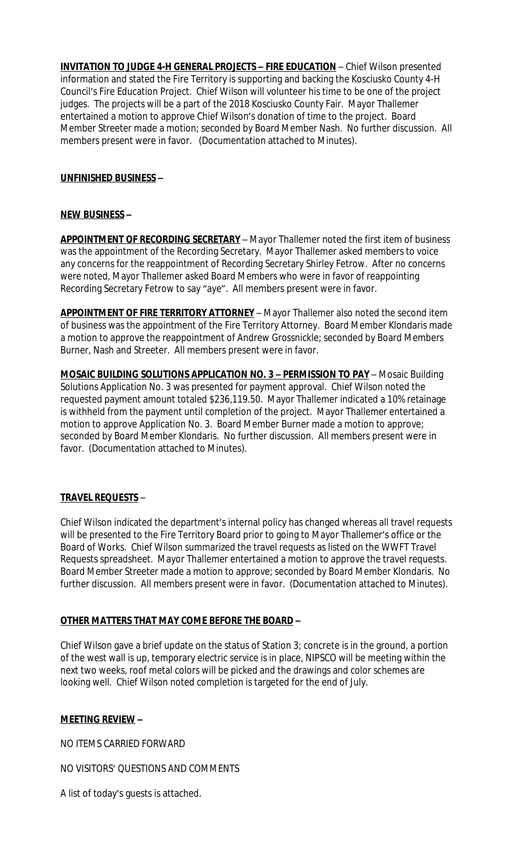**INVITATION TO JUDGE 4-H GENERAL PROJECTS – FIRE EDUCATION** – Chief Wilson presented information and stated the Fire Territory is supporting and backing the Kosciusko County 4-H Council's Fire Education Project. Chief Wilson will volunteer his time to be one of the project judges. The projects will be a part of the 2018 Kosciusko County Fair. Mayor Thallemer entertained a motion to approve Chief Wilson's donation of time to the project. Board Member Streeter made a motion; seconded by Board Member Nash. No further discussion. All members present were in favor. (Documentation attached to Minutes).

## **UNFINISHED BUSINESS –**

### **NEW BUSINESS –**

**APPOINTMENT OF RECORDING SECRETARY** – Mayor Thallemer noted the first item of business was the appointment of the Recording Secretary. Mayor Thallemer asked members to voice any concerns for the reappointment of Recording Secretary Shirley Fetrow. After no concerns were noted, Mayor Thallemer asked Board Members who were in favor of reappointing Recording Secretary Fetrow to say "aye". All members present were in favor.

**APPOINTMENT OF FIRE TERRITORY ATTORNEY** – Mayor Thallemer also noted the second item of business was the appointment of the Fire Territory Attorney. Board Member Klondaris made a motion to approve the reappointment of Andrew Grossnickle; seconded by Board Members Burner, Nash and Streeter. All members present were in favor.

**MOSAIC BUILDING SOLUTIONS APPLICATION NO. 3 - PERMISSION TO PAY - Mosaic Building** Solutions Application No. 3 was presented for payment approval. Chief Wilson noted the requested payment amount totaled \$236,119.50. Mayor Thallemer indicated a 10% retainage is withheld from the payment until completion of the project. Mayor Thallemer entertained a motion to approve Application No. 3. Board Member Burner made a motion to approve; seconded by Board Member Klondaris. No further discussion. All members present were in favor. (Documentation attached to Minutes).

# **TRAVEL REQUESTS** –

Chief Wilson indicated the department's internal policy has changed whereas all travel requests will be presented to the Fire Territory Board prior to going to Mayor Thallemer's office or the Board of Works. Chief Wilson summarized the travel requests as listed on the WWFT Travel Requests spreadsheet. Mayor Thallemer entertained a motion to approve the travel requests. Board Member Streeter made a motion to approve; seconded by Board Member Klondaris. No further discussion. All members present were in favor. (Documentation attached to Minutes).

### **OTHER MATTERS THAT MAY COME BEFORE THE BOARD –**

Chief Wilson gave a brief update on the status of Station 3; concrete is in the ground, a portion of the west wall is up, temporary electric service is in place, NIPSCO will be meeting within the next two weeks, roof metal colors will be picked and the drawings and color schemes are looking well. Chief Wilson noted completion is targeted for the end of July.

### **MEETING REVIEW –**

NO ITEMS CARRIED FORWARD

NO VISITORS' QUESTIONS AND COMMENTS

A list of today's guests is attached.